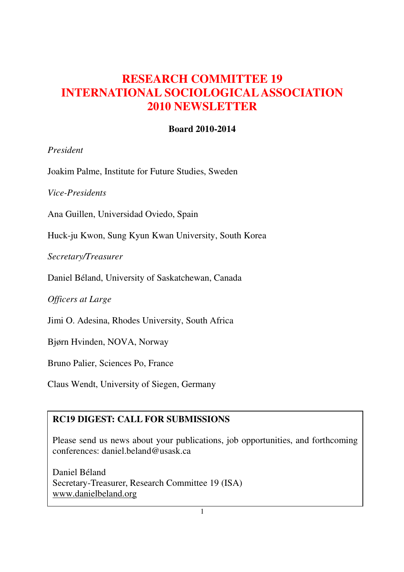# **RESEARCH COMMITTEE 19 INTERNATIONAL SOCIOLOGICAL ASSOCIATION 2010 NEWSLETTER**

# **Board 2010-2014**

## *President*

Joakim Palme, Institute for Future Studies, Sweden

*Vice-Presidents*

Ana Guillen, Universidad Oviedo, Spain

Huck-ju Kwon, Sung Kyun Kwan University, South Korea

*Secretary/Treasurer*

Daniel Béland, University of Saskatchewan, Canada

*Officers at Large*

Jimi O. Adesina, Rhodes University, South Africa

Bjørn Hvinden, NOVA, Norway

Bruno Palier, Sciences Po, France

Claus Wendt, University of Siegen, Germany

# **RC19 DIGEST: CALL FOR SUBMISSIONS**

Please send us news about your publications, job opportunities, and forthcoming conferences: daniel.beland@usask.ca

Daniel Béland Secretary-Treasurer, Research Committee 19 (ISA) www.danielbeland.org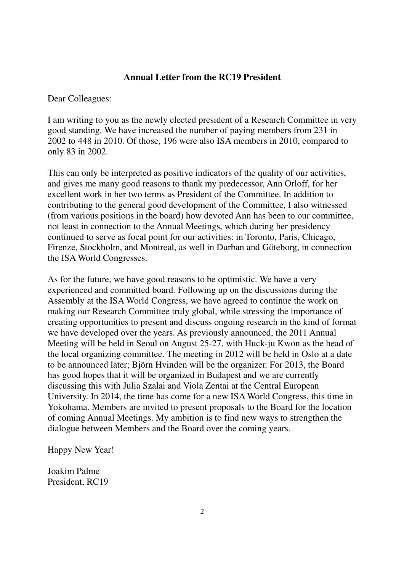#### **Annual Letter from the RC19 President**

Dear Colleagues:

I am writing to you as the newly elected president of a Research Committee in very good standing. We have increased the number of paying members from 231 in 2002 to 448 in 2010. Of those, 196 were also ISA members in 2010, compared to only 83 in 2002.

This can only be interpreted as positive indicators of the quality of our activities, and gives me many good reasons to thank my predecessor, Ann Orloff, for her excellent work in her two terms as President of the Committee. In addition to contributing to the general good development of the Committee, I also witnessed (from various positions in the board) how devoted Ann has been to our committee, not least in connection to the Annual Meetings, which during her presidency continued to serve as focal point for our activities: in Toronto, Paris, Chicago, Firenze, Stockholm, and Montreal, as well in Durban and Göteborg, in connection the ISA World Congresses.

As for the future, we have good reasons to be optimistic. We have a very experienced and committed board. Following up on the discussions during the Assembly at the ISA World Congress, we have agreed to continue the work on making our Research Committee truly global, while stressing the importance of creating opportunities to present and discuss ongoing research in the kind of format we have developed over the years. As previously announced, the 2011 Annual Meeting will be held in Seoul on August 25-27, with Huck-ju Kwon as the head of the local organizing committee. The meeting in 2012 will be held in Oslo at a date to be announced later; Björn Hvinden will be the organizer. For 2013, the Board has good hopes that it will be organized in Budapest and we are currently discussing this with Julia Szalai and Viola Zentai at the Central European University. In 2014, the time has come for a new ISA World Congress, this time in Yokohama. Members are invited to present proposals to the Board for the location of coming Annual Meetings. My ambition is to find new ways to strengthen the dialogue between Members and the Board over the coming years.

Happy New Year!

Joakim Palme President, RC19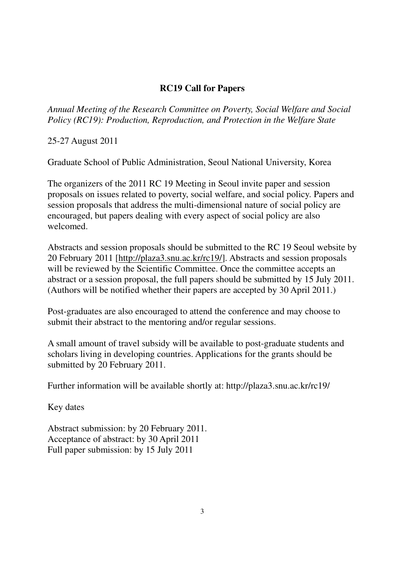# **RC19 Call for Papers**

*Annual Meeting of the Research Committee on Poverty, Social Welfare and Social Policy (RC19): Production, Reproduction, and Protection in the Welfare State* 

25-27 August 2011

Graduate School of Public Administration, Seoul National University, Korea

The organizers of the 2011 RC 19 Meeting in Seoul invite paper and session proposals on issues related to poverty, social welfare, and social policy. Papers and session proposals that address the multi-dimensional nature of social policy are encouraged, but papers dealing with every aspect of social policy are also welcomed.

Abstracts and session proposals should be submitted to the RC 19 Seoul website by 20 February 2011 [http://plaza3.snu.ac.kr/rc19/]. Abstracts and session proposals will be reviewed by the Scientific Committee. Once the committee accepts an abstract or a session proposal, the full papers should be submitted by 15 July 2011. (Authors will be notified whether their papers are accepted by 30 April 2011.)

Post-graduates are also encouraged to attend the conference and may choose to submit their abstract to the mentoring and/or regular sessions.

A small amount of travel subsidy will be available to post-graduate students and scholars living in developing countries. Applications for the grants should be submitted by 20 February 2011.

Further information will be available shortly at: http://plaza3.snu.ac.kr/rc19/

Key dates

Abstract submission: by 20 February 2011. Acceptance of abstract: by 30 April 2011 Full paper submission: by 15 July 2011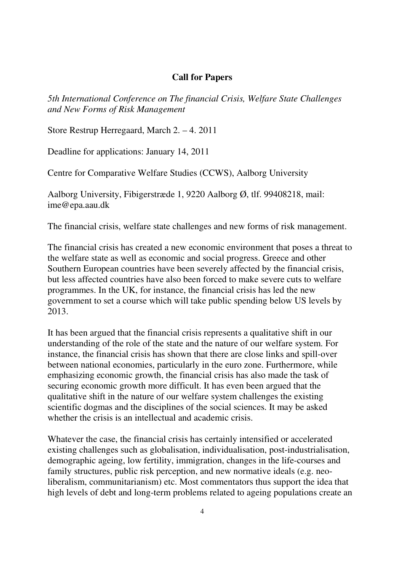### **Call for Papers**

*5th International Conference on The financial Crisis, Welfare State Challenges and New Forms of Risk Management* 

Store Restrup Herregaard, March 2. – 4. 2011

Deadline for applications: January 14, 2011

Centre for Comparative Welfare Studies (CCWS), Aalborg University

Aalborg University, Fibigerstræde 1, 9220 Aalborg Ø, tlf. 99408218, mail: ime@epa.aau.dk

The financial crisis, welfare state challenges and new forms of risk management.

The financial crisis has created a new economic environment that poses a threat to the welfare state as well as economic and social progress. Greece and other Southern European countries have been severely affected by the financial crisis, but less affected countries have also been forced to make severe cuts to welfare programmes. In the UK, for instance, the financial crisis has led the new government to set a course which will take public spending below US levels by 2013.

It has been argued that the financial crisis represents a qualitative shift in our understanding of the role of the state and the nature of our welfare system. For instance, the financial crisis has shown that there are close links and spill-over between national economies, particularly in the euro zone. Furthermore, while emphasizing economic growth, the financial crisis has also made the task of securing economic growth more difficult. It has even been argued that the qualitative shift in the nature of our welfare system challenges the existing scientific dogmas and the disciplines of the social sciences. It may be asked whether the crisis is an intellectual and academic crisis.

Whatever the case, the financial crisis has certainly intensified or accelerated existing challenges such as globalisation, individualisation, post-industrialisation, demographic ageing, low fertility, immigration, changes in the life-courses and family structures, public risk perception, and new normative ideals (e.g. neoliberalism, communitarianism) etc. Most commentators thus support the idea that high levels of debt and long-term problems related to ageing populations create an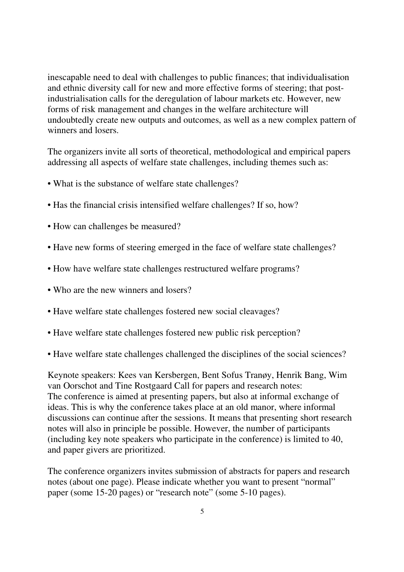inescapable need to deal with challenges to public finances; that individualisation and ethnic diversity call for new and more effective forms of steering; that postindustrialisation calls for the deregulation of labour markets etc. However, new forms of risk management and changes in the welfare architecture will undoubtedly create new outputs and outcomes, as well as a new complex pattern of winners and losers.

The organizers invite all sorts of theoretical, methodological and empirical papers addressing all aspects of welfare state challenges, including themes such as:

- What is the substance of welfare state challenges?
- Has the financial crisis intensified welfare challenges? If so, how?
- How can challenges be measured?
- Have new forms of steering emerged in the face of welfare state challenges?
- How have welfare state challenges restructured welfare programs?
- Who are the new winners and losers?
- Have welfare state challenges fostered new social cleavages?
- Have welfare state challenges fostered new public risk perception?
- Have welfare state challenges challenged the disciplines of the social sciences?

Keynote speakers: Kees van Kersbergen, Bent Sofus Tranøy, Henrik Bang, Wim van Oorschot and Tine Rostgaard Call for papers and research notes: The conference is aimed at presenting papers, but also at informal exchange of ideas. This is why the conference takes place at an old manor, where informal discussions can continue after the sessions. It means that presenting short research notes will also in principle be possible. However, the number of participants (including key note speakers who participate in the conference) is limited to 40, and paper givers are prioritized.

The conference organizers invites submission of abstracts for papers and research notes (about one page). Please indicate whether you want to present "normal" paper (some 15-20 pages) or "research note" (some 5-10 pages).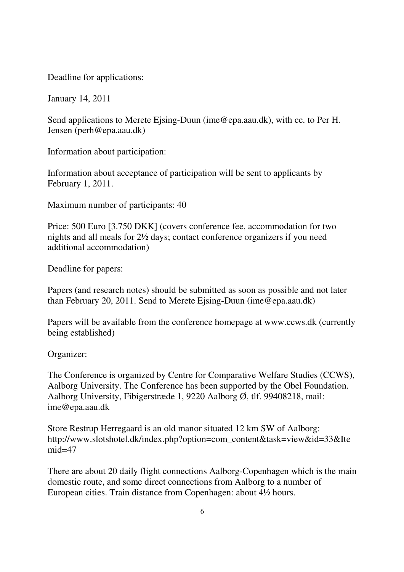Deadline for applications:

January 14, 2011

Send applications to Merete Ejsing-Duun (ime@epa.aau.dk), with cc. to Per H. Jensen (perh@epa.aau.dk)

Information about participation:

Information about acceptance of participation will be sent to applicants by February 1, 2011.

Maximum number of participants: 40

Price: 500 Euro [3.750 DKK] (covers conference fee, accommodation for two nights and all meals for 2½ days; contact conference organizers if you need additional accommodation)

Deadline for papers:

Papers (and research notes) should be submitted as soon as possible and not later than February 20, 2011. Send to Merete Ejsing-Duun (ime@epa.aau.dk)

Papers will be available from the conference homepage at www.ccws.dk (currently being established)

Organizer:

The Conference is organized by Centre for Comparative Welfare Studies (CCWS), Aalborg University. The Conference has been supported by the Obel Foundation. Aalborg University, Fibigerstræde 1, 9220 Aalborg Ø, tlf. 99408218, mail: ime@epa.aau.dk

Store Restrup Herregaard is an old manor situated 12 km SW of Aalborg: http://www.slotshotel.dk/index.php?option=com\_content&task=view&id=33&Ite mid=47

There are about 20 daily flight connections Aalborg-Copenhagen which is the main domestic route, and some direct connections from Aalborg to a number of European cities. Train distance from Copenhagen: about 4½ hours.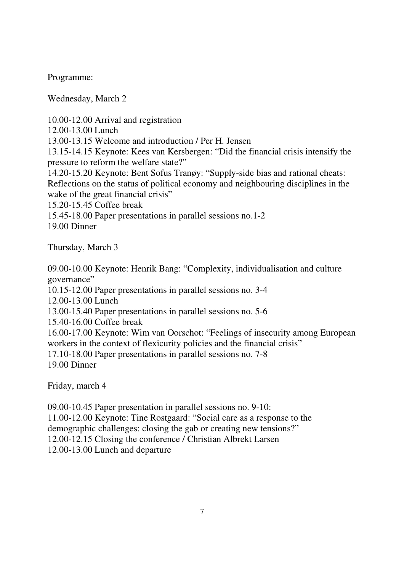Programme:

Wednesday, March 2

10.00-12.00 Arrival and registration

12.00-13.00 Lunch

13.00-13.15 Welcome and introduction / Per H. Jensen

13.15-14.15 Keynote: Kees van Kersbergen: "Did the financial crisis intensify the pressure to reform the welfare state?"

14.20-15.20 Keynote: Bent Sofus Tranøy: "Supply-side bias and rational cheats: Reflections on the status of political economy and neighbouring disciplines in the wake of the great financial crisis"

15.20-15.45 Coffee break

15.45-18.00 Paper presentations in parallel sessions no.1-2

19.00 Dinner

Thursday, March 3

09.00-10.00 Keynote: Henrik Bang: "Complexity, individualisation and culture governance"

10.15-12.00 Paper presentations in parallel sessions no. 3-4

12.00-13.00 Lunch

13.00-15.40 Paper presentations in parallel sessions no. 5-6

15.40-16.00 Coffee break

16.00-17.00 Keynote: Wim van Oorschot: "Feelings of insecurity among European workers in the context of flexicurity policies and the financial crisis"

17.10-18.00 Paper presentations in parallel sessions no. 7-8 19.00 Dinner

Friday, march 4

09.00-10.45 Paper presentation in parallel sessions no. 9-10:

11.00-12.00 Keynote: Tine Rostgaard: "Social care as a response to the

demographic challenges: closing the gab or creating new tensions?"

12.00-12.15 Closing the conference / Christian Albrekt Larsen

12.00-13.00 Lunch and departure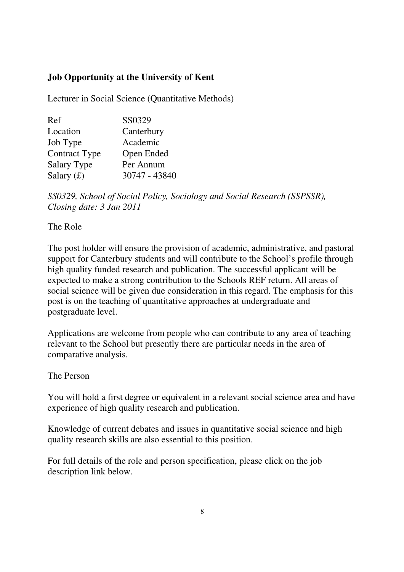# **Job Opportunity at the University of Kent**

Lecturer in Social Science (Quantitative Methods)

| Ref                  | SS0329        |
|----------------------|---------------|
| Location             | Canterbury    |
| Job Type             | Academic      |
| <b>Contract Type</b> | Open Ended    |
| Salary Type          | Per Annum     |
| Salary $(f)$         | 30747 - 43840 |

*SS0329, School of Social Policy, Sociology and Social Research (SSPSSR), Closing date: 3 Jan 2011*

The Role

The post holder will ensure the provision of academic, administrative, and pastoral support for Canterbury students and will contribute to the School's profile through high quality funded research and publication. The successful applicant will be expected to make a strong contribution to the Schools REF return. All areas of social science will be given due consideration in this regard. The emphasis for this post is on the teaching of quantitative approaches at undergraduate and postgraduate level.

Applications are welcome from people who can contribute to any area of teaching relevant to the School but presently there are particular needs in the area of comparative analysis.

The Person

You will hold a first degree or equivalent in a relevant social science area and have experience of high quality research and publication.

Knowledge of current debates and issues in quantitative social science and high quality research skills are also essential to this position.

For full details of the role and person specification, please click on the job description link below.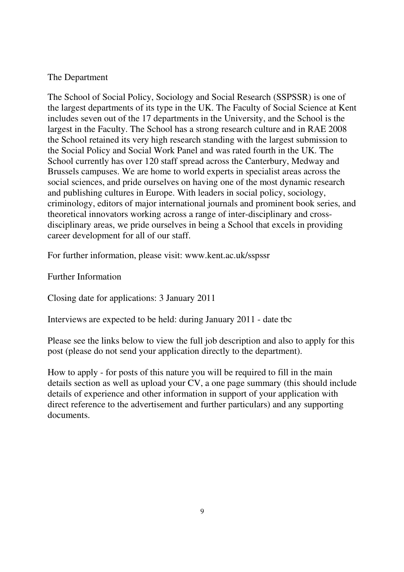## The Department

The School of Social Policy, Sociology and Social Research (SSPSSR) is one of the largest departments of its type in the UK. The Faculty of Social Science at Kent includes seven out of the 17 departments in the University, and the School is the largest in the Faculty. The School has a strong research culture and in RAE 2008 the School retained its very high research standing with the largest submission to the Social Policy and Social Work Panel and was rated fourth in the UK. The School currently has over 120 staff spread across the Canterbury, Medway and Brussels campuses. We are home to world experts in specialist areas across the social sciences, and pride ourselves on having one of the most dynamic research and publishing cultures in Europe. With leaders in social policy, sociology, criminology, editors of major international journals and prominent book series, and theoretical innovators working across a range of inter-disciplinary and crossdisciplinary areas, we pride ourselves in being a School that excels in providing career development for all of our staff.

For further information, please visit: www.kent.ac.uk/sspssr

Further Information

Closing date for applications: 3 January 2011

Interviews are expected to be held: during January 2011 - date tbc

Please see the links below to view the full job description and also to apply for this post (please do not send your application directly to the department).

How to apply - for posts of this nature you will be required to fill in the main details section as well as upload your CV, a one page summary (this should include details of experience and other information in support of your application with direct reference to the advertisement and further particulars) and any supporting documents.